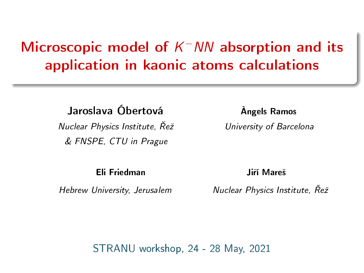# Microscopic model of  $K$ <sup>-</sup>  $NN$  absorption and its application in kaonic atoms calculations

Jaroslava Óbertová<br>
Angels Ramos

Nuclear Physics Institute,  $\tilde{R}e\tilde{z}$  University of Barcelona & FNSPE, CTU in Prague

Eli Friedman Jiří Mareš

Hebrew University, Jerusalem Nuclear Physics Institute, Řež

STRANU workshop, 24 - 28 May, 2021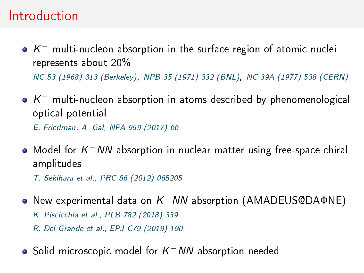### Introduction

- $\mathcal{K}^-$  multi-nucleon absorption in the surface region of atomic nuclei represents about 20% NC 53 (1968) 313 (Berkeley), NPB 35 (1971) 332 (BNL), NC 39A (1977) 538 (CERN)
- $K^-$  multi-nucleon absorption in atoms described by phenomenological optical potential

E. Friedman, A. Gal, NPA 959 (2017) 66

Model for  $K$ <sup>-</sup>NN absorption in nuclear matter using free-space chiral amplitudes

T. Sekihara et al., PRC 86 (2012) 065205

- New experimental data on  $K^-NN$  absorption (AMADEUS@DAΦNE) K. Piscicchia et al., PLB 782 (2018) 339 R. Del Grande et al., EPJ C79 (2019) 190
- Solid microscopic model for  $\bar{\kappa}^-$  NN absorption needed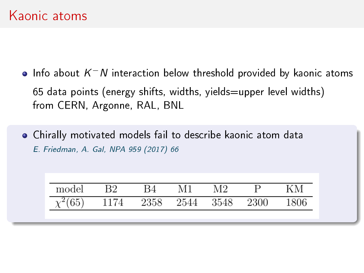- Info about  $\mathcal{K}^+ \mathcal{N}$  interaction below threshold provided by kaonic atoms 65 data points (energy shifts, widths, yields=upper level widths) from CERN, Argonne, RAL, BNL
- Chirally motivated models fail to describe kaonic atom data E. Friedman, A. Gal, NPA 959 (2017) 66

| model        | Β2   |                     | M1 | M9. |      |
|--------------|------|---------------------|----|-----|------|
| $\chi^2(65)$ | 1174 | 2358 2544 3548 2300 |    |     | 1806 |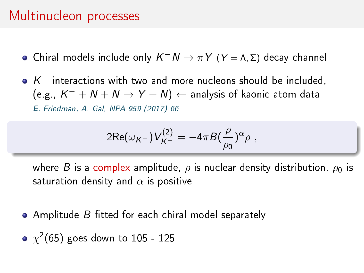### Multinucleon processes

Chiral models include only  $K^-N \to \pi Y$  ( $Y = \Lambda, \Sigma$ ) decay channel

 $K^-$  interactions with two and more nucleons should be included, (e.g.,  $K^-+N+N\rightarrow Y+N) \leftarrow$  analysis of kaonic atom data E. Friedman, A. Gal, NPA 959 (2017) 66

$$
2\text{Re}(\omega_{K^-})V_{K^-}^{(2)} = -4\pi B(\frac{\rho}{\rho_0})^{\alpha}\rho ,
$$

where B is a complex amplitude,  $\rho$  is nuclear density distribution,  $\rho_0$  is saturation density and  $\alpha$  is positive

- $\bullet$  Amplitude B fitted for each chiral model separately
- $\chi^2(65)$  goes down to 105 125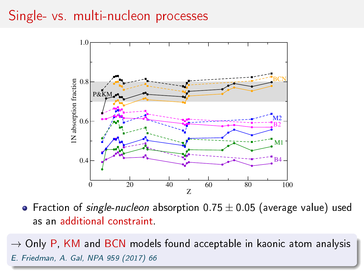### Single- vs. multi-nucleon processes



• Fraction of single-nucleon absorption  $0.75 \pm 0.05$  (average value) used as an additional constraint.

 $\rightarrow$  Only P, KM and BCN models found acceptable in kaonic atom analysis E. Friedman, A. Gal, NPA 959 (2017) 66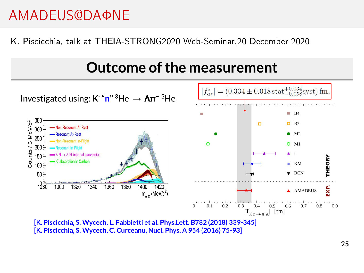# AMADEUS@DAΦNE

#### K. Piscicchia, talk at THEIA-STRONG2020 Web-Seminar,20 December 2020

# Outcome of the measurement



[K. Piscicchia, S. Wycech, L. Fabbietti et al. Phys.Lett. B782 (2018) 339-345] [K. Piscicchia, S. Wycech, C. Curceanu, Nucl. Phys. A 954 (2016) 75-93]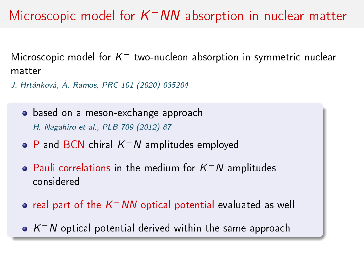# Microscopic model for  $K^-NN$  absorption in nuclear matter

Microscopic model for  $K^-$  two-nucleon absorption in symmetric nuclear matter

J. Hrtánková, À. Ramos, PRC 101 (2020) 035204

- based on a meson-exchange approach H. Nagahiro et al., PLB 709 (2012) 87
- P and BCN chiral  $K^-N$  amplitudes employed
- Pauli correlations in the medium for  $K^-N$  amplitudes considered
- real part of the  $\bar{\mathsf{K}}^-$ NN optical potential evaluated as well
- $K$   $\sim$   $N$  optical potential derived within the same approach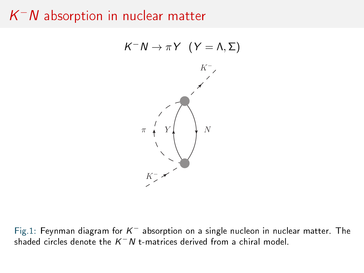# $\mathcal{K}^+ \mathcal{N}$  absorption in nuclear matter



Fig.1: Feynman diagram for  $K^-$  absorption on a single nucleon in nuclear matter. The shaded circles denote the  $\mathcal{K}^+ N$  t-matrices derived from a chiral model.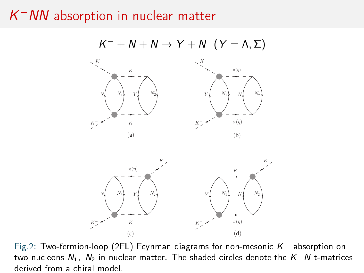# $\mathcal{K}^+$ NN absorption in nuclear matter



Fig.2: Two-fermion-loop (2FL) Feynman diagrams for non-mesonic  $K^-$  absorption on two nucleons  $N_1,~N_2$  in nuclear matter. The shaded circles denote the  $\mathcal{K}^-N$  t-matrices derived from a chiral model.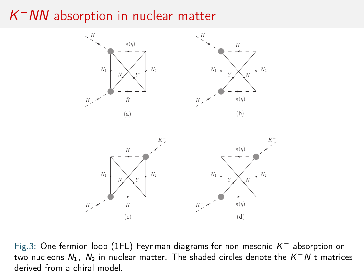# $\mathcal{K}^+$ NN absorption in nuclear matter



Fig.3: One-fermion-loop (1FL) Feynman diagrams for non-mesonic  $K^-$  absorption on two nucleons  $N_1,~N_2$  in nuclear matter. The shaded circles denote the  $\mathcal{K}^-N$  t-matrices derived from a chiral model.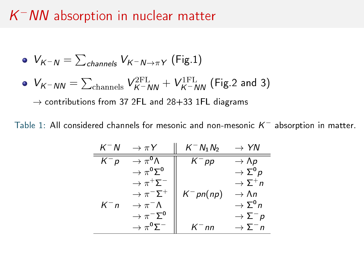### $\mathcal{K}^+$ NN absorption in nuclear matter

\n- \n
$$
V_{K^-N} = \sum_{channels} V_{K^-N \to \pi Y}
$$
 (Fig.1)\n
\n- \n $V_{K^-NN} = \sum_{channels} V_{K^-NN}^{2FL} + V_{K^-NN}^{1FL}$  (Fig.2 and 3)\n
\n- \n $\rightarrow$  contributions from 37 2FL and 28+33 1FL diagrams\n
\n

Table 1: All considered channels for mesonic and non-mesonic  $K^-$  absorption in matter.

| $K^-N$  | $\rightarrow \pi Y$                     | $K^- N_1 N_2$ | $\rightarrow$ YN                  |
|---------|-----------------------------------------|---------------|-----------------------------------|
| $K^-$ p | $\rightarrow \pi^{0} \Lambda$           | $K^-$ pp      | $\rightarrow$ Np                  |
|         | $\rightarrow \pi^0 \Sigma^0$            |               | $\rightarrow \Sigma^0$ p          |
|         | $\rightarrow \pi^+ \overline{\Sigma}^-$ |               | $\rightarrow$ $\overline{2}^{+}n$ |
|         | $\rightarrow \pi^- \Sigma^+$            | $K^-$ pn(np)  | $\rightarrow$ An                  |
| $K^-$ n | $\rightarrow \pi^{-} \Lambda$           |               | $\rightarrow \Sigma^0 n$          |
|         | $\rightarrow \pi^- \Sigma^0$            |               | $\rightarrow \Sigma^-$ p          |
|         | $\rightarrow \pi^0 \Sigma^-$            | $K^-$ nn      | $\rightarrow \Sigma^{-}n$         |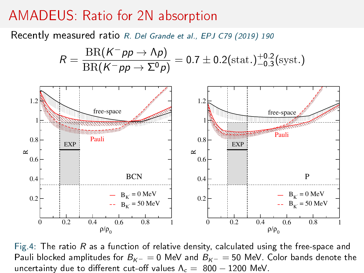#### AMADEUS: Ratio for 2N absorption

Recently measured ratio R. Del Grande et al., EPJ C79 (2019) 190

$$
R = \frac{\text{BR}(K^- \rho p \to \Lambda p)}{\text{BR}(K^- \rho p \to \Sigma^0 p)} = 0.7 \pm 0.2 \text{(stat.)}^{+0.2}_{-0.3} \text{(syst.)}
$$



Fig.4: The ratio  $R$  as a function of relative density, calculated using the free-space and Pauli blocked amplitudes for  $B_{K^-} = 0$  MeV and  $B_{K^-} = 50$  MeV. Color bands denote the uncertainty due to different cut-off values  $\Lambda_c = 800 - 1200$  MeV.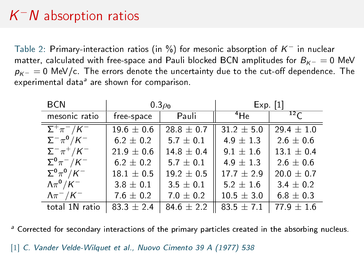# $K^-N$  absorption ratios

Table 2: Primary-interaction ratios (in %) for mesonic absorption of  $K^-$  in nuclear matter, calculated with free-space and Pauli blocked BCN amplitudes for  $B_{K-} = 0$  MeV  $p_{K-} = 0$  MeV/c. The errors denote the uncertainty due to the cut-off dependence. The experimental data<sup>a</sup> are shown for comparison.

| <b>BCN</b>                                     |                | $0.3\rho_0$    | $Exp$ [1]      |                  |  |
|------------------------------------------------|----------------|----------------|----------------|------------------|--|
| mesonic ratio                                  | free space     | Pauli          | $^4$ He        | $12 \mathcal{L}$ |  |
| $\overline{\Sigma^{+}\pi^{-}/\mathcal{K}^{-}}$ | $19.6 \pm 0.6$ | $28.8 \pm 0.7$ | $31.2 \pm 5.0$ | $29.4 + 1.0$     |  |
| $\Sigma^-\pi^0/K^-$                            | $6.2 \pm 0.2$  | $5.7 \pm 0.1$  | $4.9 \pm 1.3$  | $2.6 \pm 0.6$    |  |
| $\Sigma^-\pi^+$ /K <sup>-1</sup>               | $21.9 \pm 0.6$ | $14.8 \pm 0.4$ | $9.1 + 1.6$    | $13.1 \pm 0.4$   |  |
| $\Sigma^0 \pi^- / K^-$                         | $6.2 \pm 0.2$  | $5.7 \pm 0.1$  | $4.9 + 1.3$    | $2.6 \pm 0.6$    |  |
| $\Sigma^0 \pi^0/K^-$                           | $18.1 \pm 0.5$ | $19.2 \pm 0.5$ | $17.7 + 2.9$   | $20.0 \pm 0.7$   |  |
| $\Lambda \pi^0/K^-$                            | $3.8 \pm 0.1$  | $3.5 \pm 0.1$  | $5.2 \pm 1.6$  | $3.4 \pm 0.2$    |  |
| $\Lambda \pi^- / K^-$                          | $7.6 \pm 0.2$  | $7.0 \pm 0.2$  | $10.5 \pm 3.0$ | $6.8 \pm 0.3$    |  |
| total 1N ratio                                 | $83.3 \pm 2.4$ | $84.6 \pm 2.2$ | 83.5 $\pm$ 7.1 | $77.9 + 1.6$     |  |

<sup>a</sup> Corrected for secondary interactions of the primary particles created in the absorbing nucleus.

[1] C. Vander Velde-Wilquet et al., Nuovo Cimento 39 A (1977) 538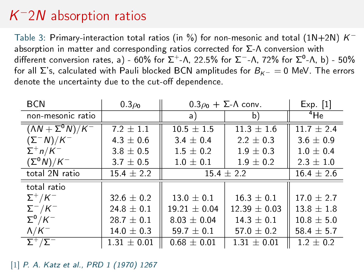# $K^-$ 2 $N$  absorption ratios

Table 3: Primary-interaction total ratios (in %) for non-mesonic and total (1N+2N)  $\mathcal{K}^$ absorption in matter and corresponding ratios corrected for  $\Sigma$ - $\Lambda$  conversion with different conversion rates, a) - 60% for Σ<sup>+</sup>-Λ, 22.5% for Σ<sup>−</sup>-Λ, 72% for Σ<sup>0</sup>-Λ, b) - 50% for all  $\Sigma$ 's, calculated with Pauli blocked BCN amplitudes for  $B_{K-} = 0$  MeV. The errors denote the uncertainty due to the cut-off dependence.

| <b>BCN</b>                  | $0.3\rho_0$    | $0.3\rho_0 + \Sigma \Lambda$ conv. |                 | $Exp$ [1]      |
|-----------------------------|----------------|------------------------------------|-----------------|----------------|
| non-mesonic ratio           |                | a)                                 | b)              | $4$ He         |
| $(N + \Sigma^0 N)/K^-$      | $7.2 + 1.1$    | $10.5 + 1.5$                       | $11.3 \pm 1.6$  | $11.7 + 2.4$   |
| $(\Sigma^- N)/K^-$          | $4.3 \pm 0.6$  | $34 \pm 04$                        | $2.2 \pm 0.3$   | $3.6 \pm 0.9$  |
| $\Sigma^+ n/K^-$            | $3.8 \pm 0.5$  | $1.5 \pm 0.2$                      | $19 \pm 03$     | $10 \pm 0.4$   |
| $(\Sigma^0 N)/K^-$          | $3.7 \pm 0.5$  | $1.0\,\pm\,0.1$                    | $19 \pm 0.2$    | $2.3 \pm 1.0$  |
| total 2N ratio              | $15.4 \pm 2.2$ | $15.4 + 2.2$                       |                 | $16.4 + 2.6$   |
| total ratio                 |                |                                    |                 |                |
| $\Sigma^+/K^-$              | $32.6 \pm 0.2$ | $13.0 \pm 0.1$                     | $16.3 \pm 0.1$  | $17.0 + 2.7$   |
| $\Sigma^-$ /K <sup>-1</sup> | $24.8 \pm 0.1$ | $19.21 \pm 0.04$                   | $12.39 + 0.03$  | $13.8 + 1.8$   |
| $\Sigma^0/K^-$              | $28.7 \pm 0.1$ | $8.03 \pm 0.04$                    | $143 \pm 0.1$   | $10.8 \pm 5.0$ |
| $\Lambda/K^-$               | $14.0 \pm 0.3$ | 59.7 $\pm$ 0.1                     | 57.0 $\pm$ 0.2  | 58.4 $\pm$ 5.7 |
| $\Sigma^+/\Sigma^-$         | $131 \pm 0.01$ | $0.68 \pm 0.01$                    | $1.31 \pm 0.01$ | $1.2 \pm 0.2$  |

[1] P. A. Katz et al., PRD 1 (1970) 1267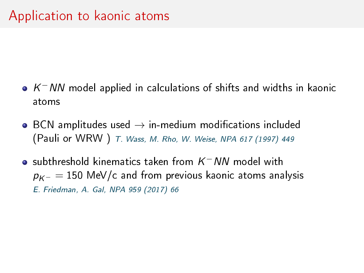- $K$ <sup>-</sup> NN model applied in calculations of shifts and widths in kaonic atoms
- $\bullet$  BCN amplitudes used  $\rightarrow$  in-medium modifications included (Pauli or WRW ) T. Wass, M. Rho, W. Weise, NPA 617 (1997) 449
- subthreshold kinematics taken from  $\mathcal{K}^+$  NN model with  $p_{K^-} = 150$  MeV/c and from previous kaonic atoms analysis E. Friedman, A. Gal, NPA 959 (2017) 66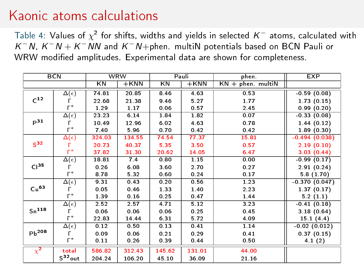### Kaonic atoms calculations

Table 4: Values of  $\chi^2$  for shifts, widths and yields in selected  $\mathcal{K}^-$  atoms, calculated with  $K^-N$ ,  $K^-N+K^-NN$  and  $K^-N+$ phen. multiN potentials based on BCN Pauli or WRW modified amplitudes. Experimental data are shown for completeness.

|                  | <b>BCN</b>          |        | <b>WRW</b> |        | Pauli   | phen.                   | <b>EXP</b>      |
|------------------|---------------------|--------|------------|--------|---------|-------------------------|-----------------|
|                  |                     | KN     | $+$ KNN    | KN     | $+$ KNN | $KN + phen$ . multi $N$ |                 |
|                  | $\Delta(\epsilon)$  | 74.81  | 20.85      | 8.46   | 4.63    | 0.53                    | $-0.59(0.08)$   |
| $C^{12}$         |                     | 22.68  | 21 38      | 9.46   | 5.27    | 1.77                    | 1.73(0.15)      |
|                  | $\Gamma^*$          | 1.29   | 1.17       | 0.06   | 0.57    | 2.45                    | 0.99(0.20)      |
|                  | $\Delta(\epsilon)$  | 23 23  | 6.14       | 1.84   | 1.82    | 0.07                    | $-0.33(0.08)$   |
| $p^{31}$         | г                   | 10.49  | 12.96      | 6.02   | 4.63    | 0.78                    | 1.44(0.12)      |
|                  | $\Gamma^*$          | 7.40   | 5.96       | 0.70   | 0.42    | 0.42                    | 1.89(0.30)      |
|                  | $\Delta(\epsilon)$  | 324.03 | 134.55     | 74.54  | 77.37   | 15.81                   | $-0.494(0.038)$ |
| S <sup>32</sup>  | г                   | 20.73  | 40.37      | 5.35   | 3.50    | 0.57                    | 2.19(0.10)      |
|                  | г*                  | 37.82  | 31.30      | 20.62  | 14.05   | 6.47                    | 3.03(0.44)      |
|                  | $\Delta(\epsilon)$  | 18.81  | 7.4        | 0.80   | 1.15    | 0.00                    | $-0.99(0.17)$   |
| Cl <sup>35</sup> |                     | 0.26   | 6.08       | 3.60   | 2.70    | 0.27                    | 2.91(0.24)      |
|                  | $\mathsf{\Gamma}^*$ | 8.78   | 5.32       | 0.60   | 0.24    | 0.17                    | 5.8(1.70)       |
|                  | $\Delta(\epsilon)$  | 9.31   | 0.43       | 0.20   | 0.56    | 1.23                    | $-0.370(0.047)$ |
| Cu <sup>63</sup> | г                   | 0.05   | 0.46       | 1.33   | 1.40    | 2.23                    | 1.37(0.17)      |
|                  | $\Gamma^*$          | 1.39   | 0.16       | 0.25   | 0.47    | 1.44                    | 5.2(1.1)        |
|                  | $\Delta(\epsilon)$  | 2.52   | 2.57       | 4.71   | 5.12    | 3.23                    | $-0.41(0.18)$   |
| $Sn^{118}$       | г                   | 0.06   | 0.06       | 0.06   | 0.25    | 0.45                    | 3.18(0.64)      |
|                  | $\Gamma^*$          | 22 83  | 14 44      | 6.31   | 5.72    | 4.09                    | 15.1(4.4)       |
|                  | $\Delta(\epsilon)$  | 0.12   | 0.50       | 0.13   | 0.41    | 1.14                    | $-0.02(0.012)$  |
| $Pb^{208}$       | г                   | 0.09   | 0.06       | 0.21   | 0.29    | 0.41                    | 0.37(0.15)      |
|                  | $\Gamma^*$          | 0.11   | 0.26       | 0.39   | 0.44    | 0.50                    | 4.1(2)          |
| $\chi^2$         | total               | 586.82 | 312.43     | 145.62 | 131.01  | 44.00                   |                 |
|                  | $S^{32}$ out        | 204.24 | 106.20     | 45.10  | 36.09   | 21.16                   |                 |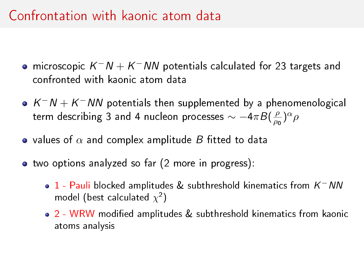### Confrontation with kaonic atom data

- microscopic  $K^-N+\bar{K}^-NN$  potentials calculated for 23 targets and confronted with kaonic atom data
- $K^-N+K^-NN$  potentials then supplemented by a phenomenological term describing 3 and 4 nucleon processes  $\sim -4\pi B(\frac{\rho}{\rho_{0}})$  $\frac{\rho}{\rho_0}$ <sup>)α</sup>ρ
- values of  $\alpha$  and complex amplitude B fitted to data
- two options analyzed so far (2 more in progress):
	- 1 Pauli blocked amplitudes & subthreshold kinematics from  $\mathcal{K}^+$  NN model (best calculated  $\chi^2$ )
	- 2 WRW modified amplitudes & subthreshold kinematics from kaonic atoms analysis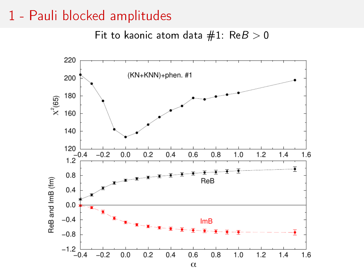#### 1 - Pauli blocked amplitudes

Fit to kaonic atom data  $#1$ : Re $B > 0$ 

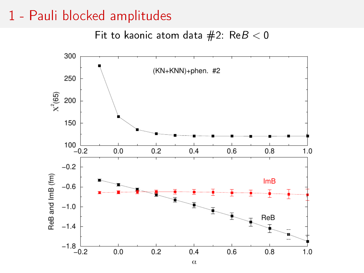#### 1 - Pauli blocked amplitudes

Fit to kaonic atom data  $#2$ : Re $B < 0$ 

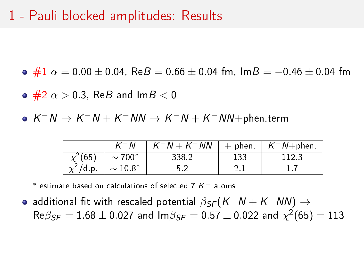### 1 - Pauli blocked amplitudes: Results

 $\bullet$  #1  $\alpha = 0.00 \pm 0.04$ , Re $B = 0.66 \pm 0.04$  fm, Im $B = -0.46 \pm 0.04$  fm

- $\bullet$  #2  $\alpha$   $>$  0.3, ReB and lmB  $<$  0
- $K^-N \to K^-N+K^-NN \to K^-N+K^-NN +$ phen.term

|               | - N             | $K^-N + K^-NN$ | + phen. | $K^-N+$ phen. |
|---------------|-----------------|----------------|---------|---------------|
| $\chi^2(65)$  | $\sim$ 700 $^*$ | 338.2          | 133     | 1123          |
| $\chi^2$ /d p | $\sim 10.8^*$   |                |         |               |

\* estimate based on calculations of selected 7  $K^-$  atoms

additional fit with rescaled potential  $\beta_\mathcal{SF}(\mathcal{K}^-N+\mathcal{K}^-N N) \rightarrow$  $\mathsf{Re} \beta_{\textit{SF}} = 1.68 \pm 0.027$  and  $\mathsf{Im} \beta_{\textit{SF}} = 0.57 \pm 0.022$  and  $\chi^2(65) = 113$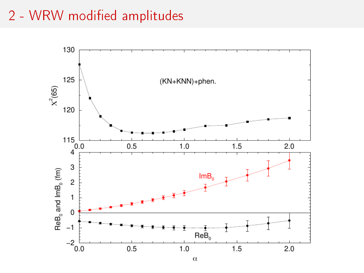### 2 - WRW modified amplitudes

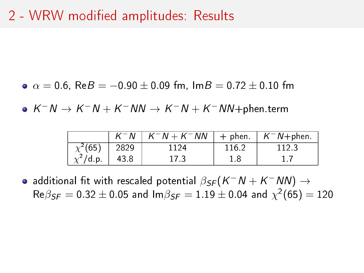### 2 - WRW modified amplitudes: Results

•  $\alpha = 0.6$ , Re $B = -0.90 \pm 0.09$  fm,  $\text{Im} B = 0.72 \pm 0.10$  fm

 $K^-N \to K^-N+K^-NN \to K^-N+K^-NN +$ phen.term

|               | $K^-N$ | $K^-N + K^-NN$   + phen |       | $K^-N$ +phen |
|---------------|--------|-------------------------|-------|--------------|
| $\chi^2(65)$  | 2829   | 1124                    | 116.2 | 1123         |
| $\chi^2$ /d p | 438    | 17 <sub>3</sub>         | 18    |              |

additional fit with rescaled potential  $\beta_{\textit{SF}}(K^-N+K^-N\!N) \rightarrow$  $\mathsf{Re} \beta_{\pmb{S} \pmb{F}} = 0.32 \pm 0.05$  and  $\mathsf{Im} \beta_{\pmb{S} \pmb{F}} = 1.19 \pm 0.04$  and  $\chi^2(65) = 120$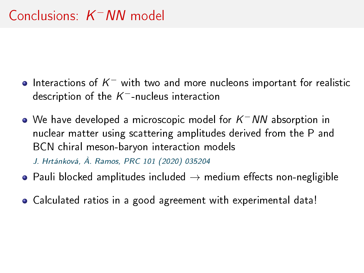- Interactions of  $\mathcal{K}^-$  with two and more nucleons important for realistic description of the  $\mathcal{K}^-$ -nucleus interaction
- We have developed a microscopic model for  $\mathcal{K}^+$   $\mathcal{N} \mathcal{N}$  absorption in nuclear matter using scattering amplitudes derived from the P and BCN chiral meson-baryon interaction models J. Hrtánková, À. Ramos, PRC 101 (2020) 035204
- Pauli blocked amplitudes included  $\rightarrow$  medium effects non-negligible
- Calculated ratios in a good agreement with experimental data!